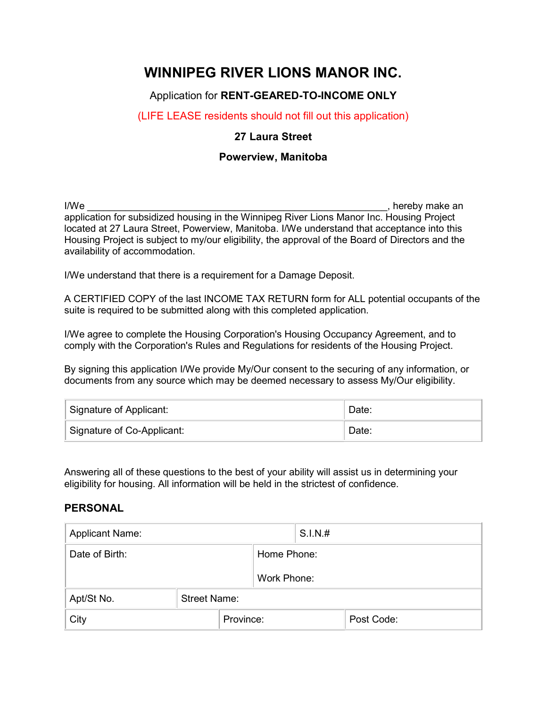# WINNIPEG RIVER LIONS MANOR INC.

### Application for RENT-GEARED-TO-INCOME ONLY

#### (LIFE LEASE residents should not fill out this application)

#### 27 Laura Street

#### Powerview, Manitoba

I/We **I/We I/We I/We I/We I/We I/We I/We I/We I/We I/We I/We I/We I/We I/We I/We I/We I/We I/We I/We I/We I/We I/We I/We I/We I/We I/We I/We I/We I/We I/We I/We** application for subsidized housing in the Winnipeg River Lions Manor Inc. Housing Project located at 27 Laura Street, Powerview, Manitoba. I/We understand that acceptance into this Housing Project is subject to my/our eligibility, the approval of the Board of Directors and the availability of accommodation.

I/We understand that there is a requirement for a Damage Deposit.

A CERTIFIED COPY of the last INCOME TAX RETURN form for ALL potential occupants of the suite is required to be submitted along with this completed application.

I/We agree to complete the Housing Corporation's Housing Occupancy Agreement, and to comply with the Corporation's Rules and Regulations for residents of the Housing Project.

By signing this application I/We provide My/Our consent to the securing of any information, or documents from any source which may be deemed necessary to assess My/Our eligibility.

| Signature of Applicant:    | Date: |
|----------------------------|-------|
| Signature of Co-Applicant: | Date: |

Answering all of these questions to the best of your ability will assist us in determining your eligibility for housing. All information will be held in the strictest of confidence.

#### PERSONAL

| <b>Applicant Name:</b> |                     | S.I.N.# |             |  |            |
|------------------------|---------------------|---------|-------------|--|------------|
| Date of Birth:         |                     |         | Home Phone: |  |            |
|                        |                     |         | Work Phone: |  |            |
| Apt/St No.             | <b>Street Name:</b> |         |             |  |            |
| City                   | Province:           |         |             |  | Post Code: |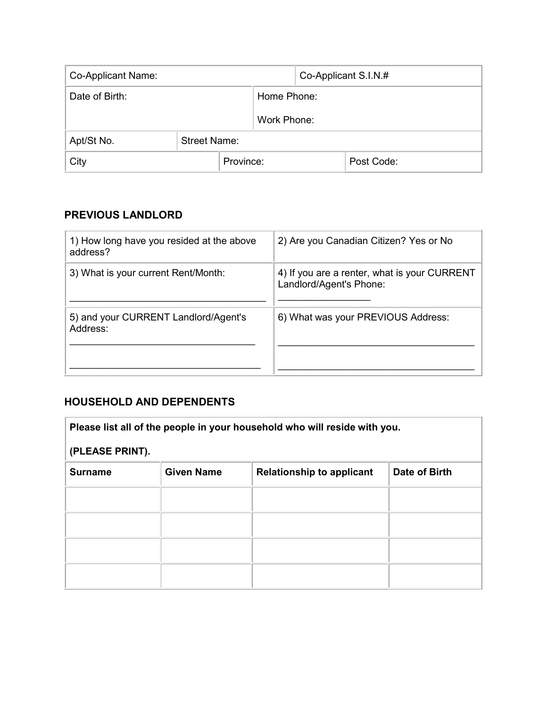| Co-Applicant Name: |                     | Co-Applicant S.I.N.# |  |            |
|--------------------|---------------------|----------------------|--|------------|
| Date of Birth:     |                     | Home Phone:          |  |            |
|                    |                     | Work Phone:          |  |            |
| Apt/St No.         | <b>Street Name:</b> |                      |  |            |
| City               | Province:           |                      |  | Post Code: |

# PREVIOUS LANDLORD

| 1) How long have you resided at the above<br>address? | 2) Are you Canadian Citizen? Yes or No                                  |
|-------------------------------------------------------|-------------------------------------------------------------------------|
| 3) What is your current Rent/Month:                   | 4) If you are a renter, what is your CURRENT<br>Landlord/Agent's Phone: |
| 5) and your CURRENT Landlord/Agent's<br>Address:      | 6) What was your PREVIOUS Address:                                      |

# HOUSEHOLD AND DEPENDENTS

i.

| Please list all of the people in your household who will reside with you. |                   |                                  |               |
|---------------------------------------------------------------------------|-------------------|----------------------------------|---------------|
| (PLEASE PRINT).                                                           |                   |                                  |               |
| <b>Surname</b>                                                            | <b>Given Name</b> | <b>Relationship to applicant</b> | Date of Birth |
|                                                                           |                   |                                  |               |
|                                                                           |                   |                                  |               |
|                                                                           |                   |                                  |               |
|                                                                           |                   |                                  |               |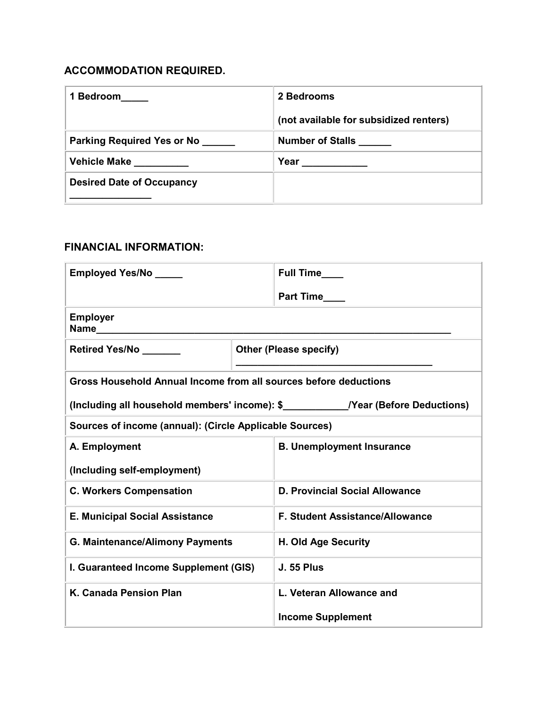# ACCOMMODATION REQUIRED.

| 1 Bedroom                        | 2 Bedrooms                             |
|----------------------------------|----------------------------------------|
|                                  | (not available for subsidized renters) |
| Parking Required Yes or No       | <b>Number of Stalls</b>                |
| <b>Vehicle Make</b>              | Year                                   |
| <b>Desired Date of Occupancy</b> |                                        |
|                                  |                                        |

### FINANCIAL INFORMATION:

| <b>Employed Yes/No</b>                                           | Full Time                              |  |  |
|------------------------------------------------------------------|----------------------------------------|--|--|
|                                                                  |                                        |  |  |
| <b>Employer</b><br>Name <b>______________________________</b>    |                                        |  |  |
| <b>Retired Yes/No</b>                                            | <b>Other (Please specify)</b>          |  |  |
| Gross Household Annual Income from all sources before deductions |                                        |  |  |
|                                                                  |                                        |  |  |
| Sources of income (annual): (Circle Applicable Sources)          |                                        |  |  |
| A. Employment                                                    | <b>B. Unemployment Insurance</b>       |  |  |
| (Including self-employment)                                      |                                        |  |  |
| <b>C. Workers Compensation</b>                                   | <b>D. Provincial Social Allowance</b>  |  |  |
| <b>E. Municipal Social Assistance</b>                            | <b>F. Student Assistance/Allowance</b> |  |  |
| <b>G. Maintenance/Alimony Payments</b>                           | H. Old Age Security                    |  |  |
| I. Guaranteed Income Supplement (GIS)                            | <b>J. 55 Plus</b>                      |  |  |
| K. Canada Pension Plan                                           | L. Veteran Allowance and               |  |  |
|                                                                  | <b>Income Supplement</b>               |  |  |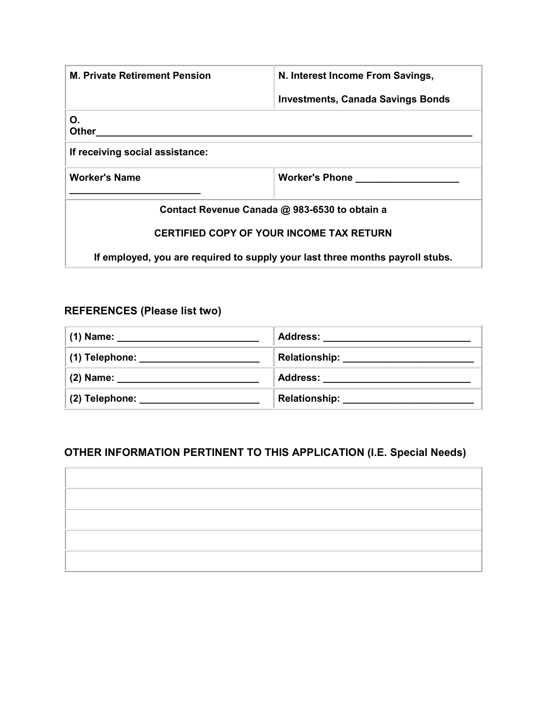| <b>M. Private Retirement Pension</b>                                          | N. Interest Income From Savings,         |  |  |
|-------------------------------------------------------------------------------|------------------------------------------|--|--|
|                                                                               | <b>Investments, Canada Savings Bonds</b> |  |  |
| Ο.<br>Other                                                                   |                                          |  |  |
| If receiving social assistance:                                               |                                          |  |  |
| <b>Worker's Name</b>                                                          | <b>Worker's Phone</b>                    |  |  |
| Contact Revenue Canada @ 983-6530 to obtain a                                 |                                          |  |  |
| <b>CERTIFIED COPY OF YOUR INCOME TAX RETURN</b>                               |                                          |  |  |
| If employed, you are required to supply your last three months payroll stubs. |                                          |  |  |

# REFERENCES (Please list two)

| (1) Name: ______________________________ | Address: _________________ |
|------------------------------------------|----------------------------|
| (1) Telephone: __________________        | <b>Relationship:</b>       |
| (2) Name: ______________________         | Address: ________________  |
| $(2)$ Telephone:                         | <b>Relationship:</b>       |

# OTHER INFORMATION PERTINENT TO THIS APPLICATION (I.E. Special Needs)